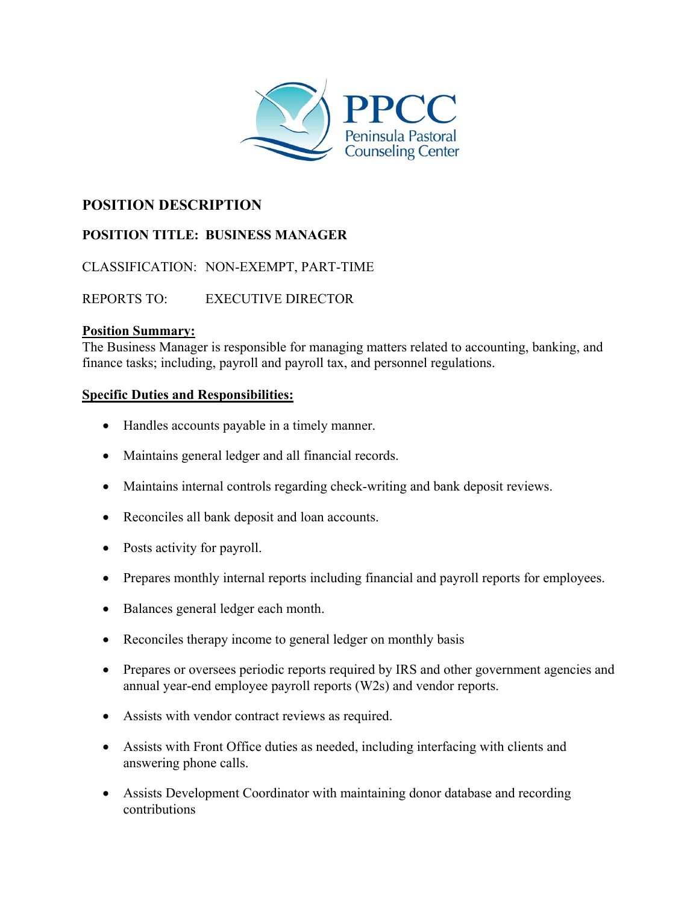

## **POSITION DESCRIPTION**

# **POSITION TITLE: BUSINESS MANAGER**

CLASSIFICATION: NON-EXEMPT, PART-TIME

REPORTS TO: EXECUTIVE DIRECTOR

#### **Position Summary:**

The Business Manager is responsible for managing matters related to accounting, banking, and finance tasks; including, payroll and payroll tax, and personnel regulations.

#### **Specific Duties and Responsibilities:**

- Handles accounts payable in a timely manner.
- Maintains general ledger and all financial records.
- Maintains internal controls regarding check-writing and bank deposit reviews.
- Reconciles all bank deposit and loan accounts.
- Posts activity for payroll.
- Prepares monthly internal reports including financial and payroll reports for employees.
- Balances general ledger each month.
- Reconciles therapy income to general ledger on monthly basis
- Prepares or oversees periodic reports required by IRS and other government agencies and annual year-end employee payroll reports (W2s) and vendor reports.
- Assists with vendor contract reviews as required.
- Assists with Front Office duties as needed, including interfacing with clients and answering phone calls.
- Assists Development Coordinator with maintaining donor database and recording contributions